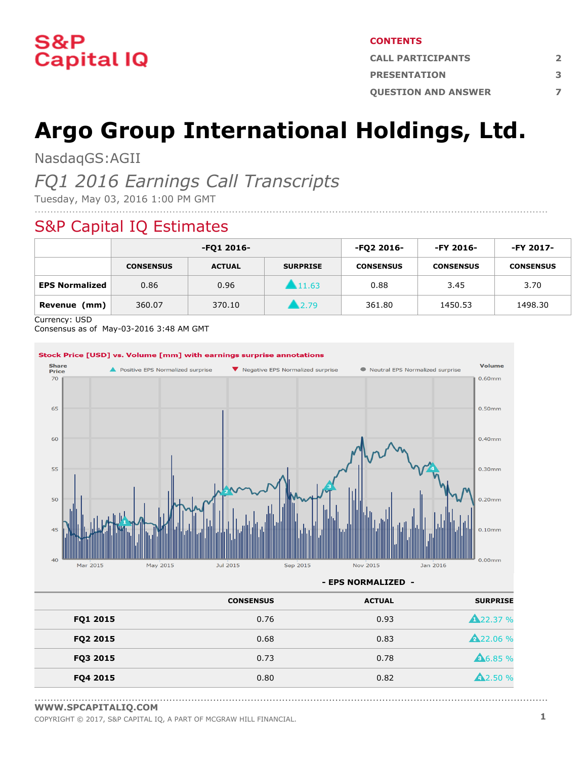

#### **CONTENTS**

| <b>CALL PARTICIPANTS</b>   |  |  |  |
|----------------------------|--|--|--|
| <b>PRESENTATION</b>        |  |  |  |
| <b>OUESTION AND ANSWER</b> |  |  |  |

# **Argo Group International Holdings, Ltd.**

NasdaqGS:AGII

### *FQ1 2016 Earnings Call Transcripts*

Tuesday, May 03, 2016 1:00 PM GMT

### S&P Capital IQ Estimates

|                       | -FQ1 2016-       |               | -FQ2 2016-      | -FY 2016-        | -FY 2017-        |                  |
|-----------------------|------------------|---------------|-----------------|------------------|------------------|------------------|
|                       | <b>CONSENSUS</b> | <b>ACTUAL</b> | <b>SURPRISE</b> | <b>CONSENSUS</b> | <b>CONSENSUS</b> | <b>CONSENSUS</b> |
| <b>EPS Normalized</b> | 0.86             | 0.96          | 11.63           | 0.88             | 3.45             | 3.70             |
| (mm)<br>Revenue       | 360.07           | 370.10        | 2.79            | 361.80           | 1450.53          | 1498.30          |

....................................................................................................................................................................

Currency: USD

Consensus as of May-03-2016 3:48 AM GMT



**- EPS NORMALIZED -**

|          | <b>CONSENSUS</b> | <b>ACTUAL</b> | <b>SURPRISE</b> |
|----------|------------------|---------------|-----------------|
| FQ1 2015 | 0.76             | 0.93          | <b>A22.37 %</b> |
| FQ2 2015 | 0.68             | 0.83          | <b>A22.06 %</b> |
| FQ3 2015 | 0.73             | 0.78          | <b>A6.85 %</b>  |
| FQ4 2015 | 0.80             | 0.82          | <b>42.50 %</b>  |

<sup>....................................................................................................................................................................</sup> **[WWW.SPCAPITALIQ.COM](https://www.capitaliq.com/home.aspx)**

COPYRIGHT © 2017, S&P CAPITAL IQ, <sup>A</sup> PART OF MCGRAW HILL FINANCIAL. **1**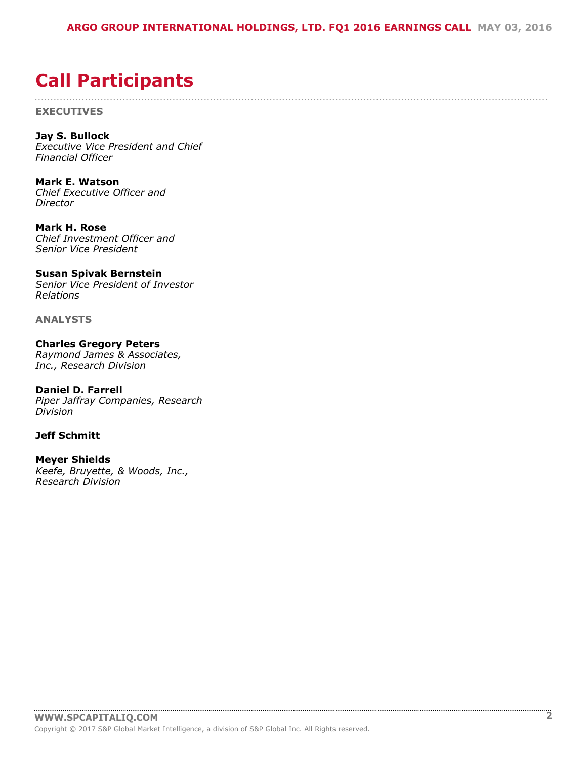....................................................................................................................................................................

### <span id="page-1-0"></span>**Call Participants**

**EXECUTIVES**

**Jay S. Bullock** *Executive Vice President and Chief Financial Officer*

**Mark E. Watson** *Chief Executive Officer and Director*

**Mark H. Rose** *Chief Investment Officer and Senior Vice President*

#### **Susan Spivak Bernstein** *Senior Vice President of Investor*

*Relations*

**ANALYSTS**

**Charles Gregory Peters** *Raymond James & Associates, Inc., Research Division*

**Daniel D. Farrell** *Piper Jaffray Companies, Research Division*

#### **Jeff Schmitt**

**Meyer Shields** *Keefe, Bruyette, & Woods, Inc., Research Division*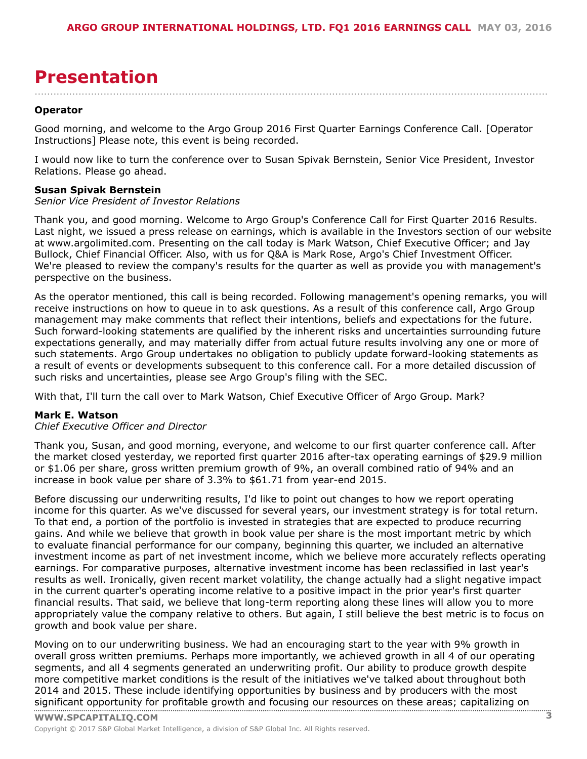### <span id="page-2-0"></span>**Presentation**

**Operator**

Good morning, and welcome to the Argo Group 2016 First Quarter Earnings Conference Call. [Operator Instructions] Please note, this event is being recorded.

....................................................................................................................................................................

I would now like to turn the conference over to Susan Spivak Bernstein, Senior Vice President, Investor Relations. Please go ahead.

#### **Susan Spivak Bernstein**

#### *Senior Vice President of Investor Relations*

Thank you, and good morning. Welcome to Argo Group's Conference Call for First Quarter 2016 Results. Last night, we issued a press release on earnings, which is available in the Investors section of our website at www.argolimited.com. Presenting on the call today is Mark Watson, Chief Executive Officer; and Jay Bullock, Chief Financial Officer. Also, with us for Q&A is Mark Rose, Argo's Chief Investment Officer. We're pleased to review the company's results for the quarter as well as provide you with management's perspective on the business.

As the operator mentioned, this call is being recorded. Following management's opening remarks, you will receive instructions on how to queue in to ask questions. As a result of this conference call, Argo Group management may make comments that reflect their intentions, beliefs and expectations for the future. Such forward-looking statements are qualified by the inherent risks and uncertainties surrounding future expectations generally, and may materially differ from actual future results involving any one or more of such statements. Argo Group undertakes no obligation to publicly update forward-looking statements as a result of events or developments subsequent to this conference call. For a more detailed discussion of such risks and uncertainties, please see Argo Group's filing with the SEC.

With that, I'll turn the call over to Mark Watson, Chief Executive Officer of Argo Group. Mark?

#### **Mark E. Watson**

#### *Chief Executive Officer and Director*

Thank you, Susan, and good morning, everyone, and welcome to our first quarter conference call. After the market closed yesterday, we reported first quarter 2016 after-tax operating earnings of \$29.9 million or \$1.06 per share, gross written premium growth of 9%, an overall combined ratio of 94% and an increase in book value per share of 3.3% to \$61.71 from year-end 2015.

Before discussing our underwriting results, I'd like to point out changes to how we report operating income for this quarter. As we've discussed for several years, our investment strategy is for total return. To that end, a portion of the portfolio is invested in strategies that are expected to produce recurring gains. And while we believe that growth in book value per share is the most important metric by which to evaluate financial performance for our company, beginning this quarter, we included an alternative investment income as part of net investment income, which we believe more accurately reflects operating earnings. For comparative purposes, alternative investment income has been reclassified in last year's results as well. Ironically, given recent market volatility, the change actually had a slight negative impact in the current quarter's operating income relative to a positive impact in the prior year's first quarter financial results. That said, we believe that long-term reporting along these lines will allow you to more appropriately value the company relative to others. But again, I still believe the best metric is to focus on growth and book value per share.

Moving on to our underwriting business. We had an encouraging start to the year with 9% growth in overall gross written premiums. Perhaps more importantly, we achieved growth in all 4 of our operating segments, and all 4 segments generated an underwriting profit. Our ability to produce growth despite more competitive market conditions is the result of the initiatives we've talked about throughout both 2014 and 2015. These include identifying opportunities by business and by producers with the most significant [opportunity](www.capitaliq.com) for profitable growth and focusing our resources on these areas; capitalizing on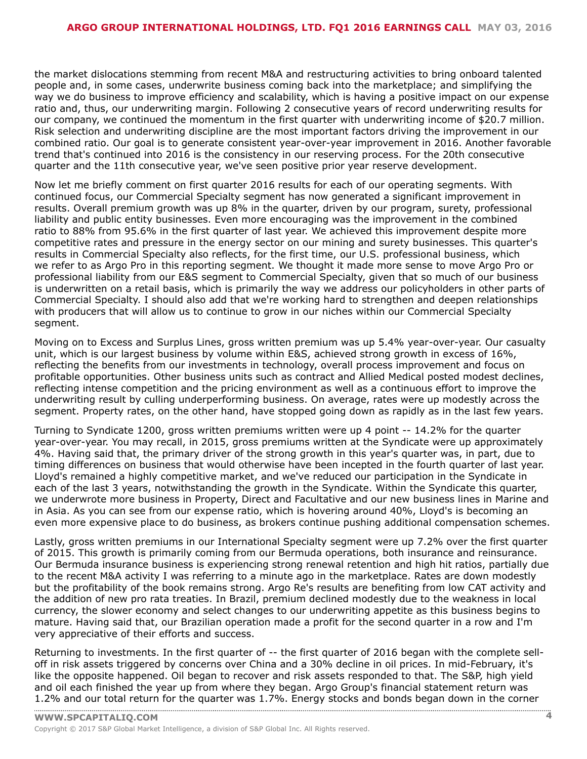the market dislocations stemming from recent M&A and restructuring activities to bring onboard talented people and, in some cases, underwrite business coming back into the marketplace; and simplifying the way we do business to improve efficiency and scalability, which is having a positive impact on our expense ratio and, thus, our underwriting margin. Following 2 consecutive years of record underwriting results for our company, we continued the momentum in the first quarter with underwriting income of \$20.7 million. Risk selection and underwriting discipline are the most important factors driving the improvement in our combined ratio. Our goal is to generate consistent year-over-year improvement in 2016. Another favorable trend that's continued into 2016 is the consistency in our reserving process. For the 20th consecutive quarter and the 11th consecutive year, we've seen positive prior year reserve development.

Now let me briefly comment on first quarter 2016 results for each of our operating segments. With continued focus, our Commercial Specialty segment has now generated a significant improvement in results. Overall premium growth was up 8% in the quarter, driven by our program, surety, professional liability and public entity businesses. Even more encouraging was the improvement in the combined ratio to 88% from 95.6% in the first quarter of last year. We achieved this improvement despite more competitive rates and pressure in the energy sector on our mining and surety businesses. This quarter's results in Commercial Specialty also reflects, for the first time, our U.S. professional business, which we refer to as Argo Pro in this reporting segment. We thought it made more sense to move Argo Pro or professional liability from our E&S segment to Commercial Specialty, given that so much of our business is underwritten on a retail basis, which is primarily the way we address our policyholders in other parts of Commercial Specialty. I should also add that we're working hard to strengthen and deepen relationships with producers that will allow us to continue to grow in our niches within our Commercial Specialty segment.

Moving on to Excess and Surplus Lines, gross written premium was up 5.4% year-over-year. Our casualty unit, which is our largest business by volume within E&S, achieved strong growth in excess of 16%, reflecting the benefits from our investments in technology, overall process improvement and focus on profitable opportunities. Other business units such as contract and Allied Medical posted modest declines, reflecting intense competition and the pricing environment as well as a continuous effort to improve the underwriting result by culling underperforming business. On average, rates were up modestly across the segment. Property rates, on the other hand, have stopped going down as rapidly as in the last few years.

Turning to Syndicate 1200, gross written premiums written were up 4 point -- 14.2% for the quarter year-over-year. You may recall, in 2015, gross premiums written at the Syndicate were up approximately 4%. Having said that, the primary driver of the strong growth in this year's quarter was, in part, due to timing differences on business that would otherwise have been incepted in the fourth quarter of last year. Lloyd's remained a highly competitive market, and we've reduced our participation in the Syndicate in each of the last 3 years, notwithstanding the growth in the Syndicate. Within the Syndicate this quarter, we underwrote more business in Property, Direct and Facultative and our new business lines in Marine and in Asia. As you can see from our expense ratio, which is hovering around 40%, Lloyd's is becoming an even more expensive place to do business, as brokers continue pushing additional compensation schemes.

Lastly, gross written premiums in our International Specialty segment were up 7.2% over the first quarter of 2015. This growth is primarily coming from our Bermuda operations, both insurance and reinsurance. Our Bermuda insurance business is experiencing strong renewal retention and high hit ratios, partially due to the recent M&A activity I was referring to a minute ago in the marketplace. Rates are down modestly but the profitability of the book remains strong. Argo Re's results are benefiting from low CAT activity and the addition of new pro rata treaties. In Brazil, premium declined modestly due to the weakness in local currency, the slower economy and select changes to our underwriting appetite as this business begins to mature. Having said that, our Brazilian operation made a profit for the second quarter in a row and I'm very appreciative of their efforts and success.

Returning to investments. In the first quarter of -- the first quarter of 2016 began with the complete selloff in risk assets triggered by concerns over China and a 30% decline in oil prices. In mid-February, it's like the opposite happened. Oil began to recover and risk assets responded to that. The S&P, high yield and oil each finished the year up from where they began. Argo Group's financial statement return was 1.2% and our total [return](www.capitaliq.com) for the quarter was 1.7%. Energy stocks and bonds began down in the corner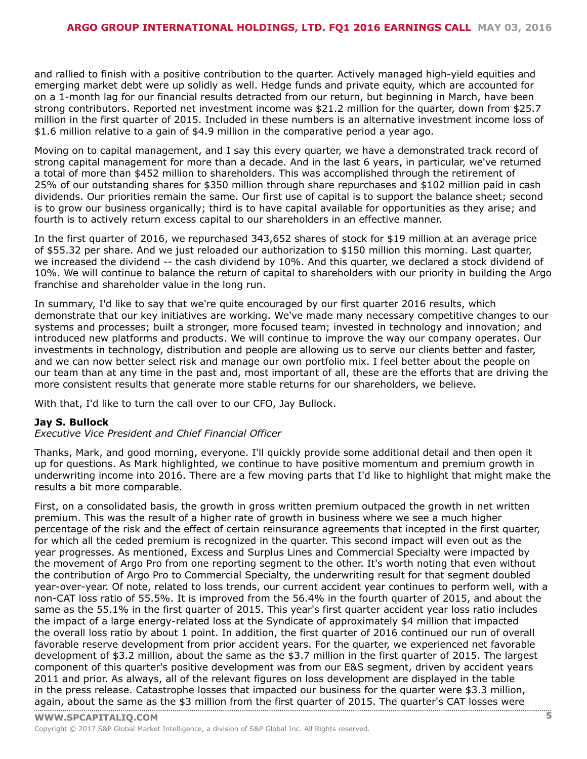and rallied to finish with a positive contribution to the quarter. Actively managed high-yield equities and emerging market debt were up solidly as well. Hedge funds and private equity, which are accounted for on a 1-month lag for our financial results detracted from our return, but beginning in March, have been strong contributors. Reported net investment income was \$21.2 million for the quarter, down from \$25.7 million in the first quarter of 2015. Included in these numbers is an alternative investment income loss of \$1.6 million relative to a gain of \$4.9 million in the comparative period a year ago.

Moving on to capital management, and I say this every quarter, we have a demonstrated track record of strong capital management for more than a decade. And in the last 6 years, in particular, we've returned a total of more than \$452 million to shareholders. This was accomplished through the retirement of 25% of our outstanding shares for \$350 million through share repurchases and \$102 million paid in cash dividends. Our priorities remain the same. Our first use of capital is to support the balance sheet; second is to grow our business organically; third is to have capital available for opportunities as they arise; and fourth is to actively return excess capital to our shareholders in an effective manner.

In the first quarter of 2016, we repurchased 343,652 shares of stock for \$19 million at an average price of \$55.32 per share. And we just reloaded our authorization to \$150 million this morning. Last quarter, we increased the dividend -- the cash dividend by 10%. And this quarter, we declared a stock dividend of 10%. We will continue to balance the return of capital to shareholders with our priority in building the Argo franchise and shareholder value in the long run.

In summary, I'd like to say that we're quite encouraged by our first quarter 2016 results, which demonstrate that our key initiatives are working. We've made many necessary competitive changes to our systems and processes; built a stronger, more focused team; invested in technology and innovation; and introduced new platforms and products. We will continue to improve the way our company operates. Our investments in technology, distribution and people are allowing us to serve our clients better and faster, and we can now better select risk and manage our own portfolio mix. I feel better about the people on our team than at any time in the past and, most important of all, these are the efforts that are driving the more consistent results that generate more stable returns for our shareholders, we believe.

With that, I'd like to turn the call over to our CFO, Jay Bullock.

#### **Jay S. Bullock**

*Executive Vice President and Chief Financial Officer*

Thanks, Mark, and good morning, everyone. I'll quickly provide some additional detail and then open it up for questions. As Mark highlighted, we continue to have positive momentum and premium growth in underwriting income into 2016. There are a few moving parts that I'd like to highlight that might make the results a bit more comparable.

First, on a consolidated basis, the growth in gross written premium outpaced the growth in net written premium. This was the result of a higher rate of growth in business where we see a much higher percentage of the risk and the effect of certain reinsurance agreements that incepted in the first quarter, for which all the ceded premium is recognized in the quarter. This second impact will even out as the year progresses. As mentioned, Excess and Surplus Lines and Commercial Specialty were impacted by the movement of Argo Pro from one reporting segment to the other. It's worth noting that even without the contribution of Argo Pro to Commercial Specialty, the underwriting result for that segment doubled year-over-year. Of note, related to loss trends, our current accident year continues to perform well, with a non-CAT loss ratio of 55.5%. It is improved from the 56.4% in the fourth quarter of 2015, and about the same as the 55.1% in the first quarter of 2015. This year's first quarter accident year loss ratio includes the impact of a large energy-related loss at the Syndicate of approximately \$4 million that impacted the overall loss ratio by about 1 point. In addition, the first quarter of 2016 continued our run of overall favorable reserve development from prior accident years. For the quarter, we experienced net favorable development of \$3.2 million, about the same as the \$3.7 million in the first quarter of 2015. The largest component of this quarter's positive development was from our E&S segment, driven by accident years 2011 and prior. As always, all of the relevant figures on loss development are displayed in the table in the press release. Catastrophe losses that impacted our business for the quarter were \$3.3 million, [again,](www.capitaliq.com) about the same as the \$3 million from the first quarter of 2015. The quarter's CAT losses were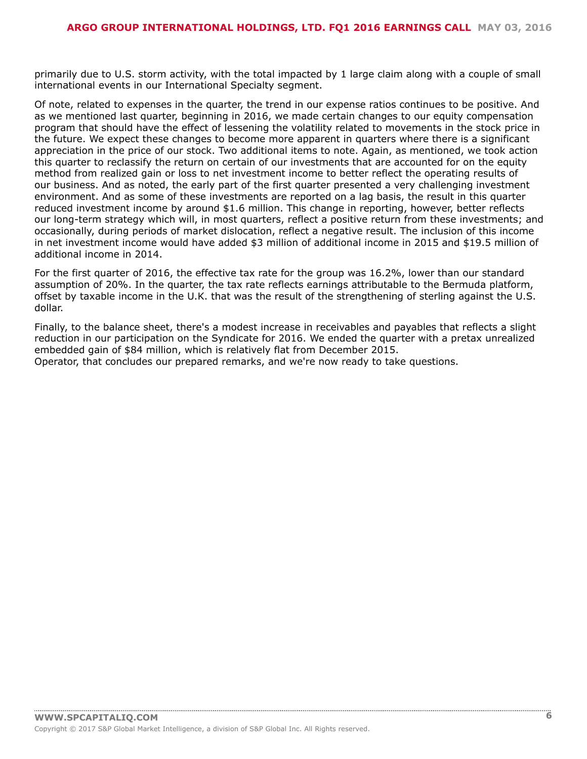primarily due to U.S. storm activity, with the total impacted by 1 large claim along with a couple of small international events in our International Specialty segment.

Of note, related to expenses in the quarter, the trend in our expense ratios continues to be positive. And as we mentioned last quarter, beginning in 2016, we made certain changes to our equity compensation program that should have the effect of lessening the volatility related to movements in the stock price in the future. We expect these changes to become more apparent in quarters where there is a significant appreciation in the price of our stock. Two additional items to note. Again, as mentioned, we took action this quarter to reclassify the return on certain of our investments that are accounted for on the equity method from realized gain or loss to net investment income to better reflect the operating results of our business. And as noted, the early part of the first quarter presented a very challenging investment environment. And as some of these investments are reported on a lag basis, the result in this quarter reduced investment income by around \$1.6 million. This change in reporting, however, better reflects our long-term strategy which will, in most quarters, reflect a positive return from these investments; and occasionally, during periods of market dislocation, reflect a negative result. The inclusion of this income in net investment income would have added \$3 million of additional income in 2015 and \$19.5 million of additional income in 2014.

For the first quarter of 2016, the effective tax rate for the group was 16.2%, lower than our standard assumption of 20%. In the quarter, the tax rate reflects earnings attributable to the Bermuda platform, offset by taxable income in the U.K. that was the result of the strengthening of sterling against the U.S. dollar.

Finally, to the balance sheet, there's a modest increase in receivables and payables that reflects a slight reduction in our participation on the Syndicate for 2016. We ended the quarter with a pretax unrealized embedded gain of \$84 million, which is relatively flat from December 2015. Operator, that concludes our prepared remarks, and we're now ready to take questions.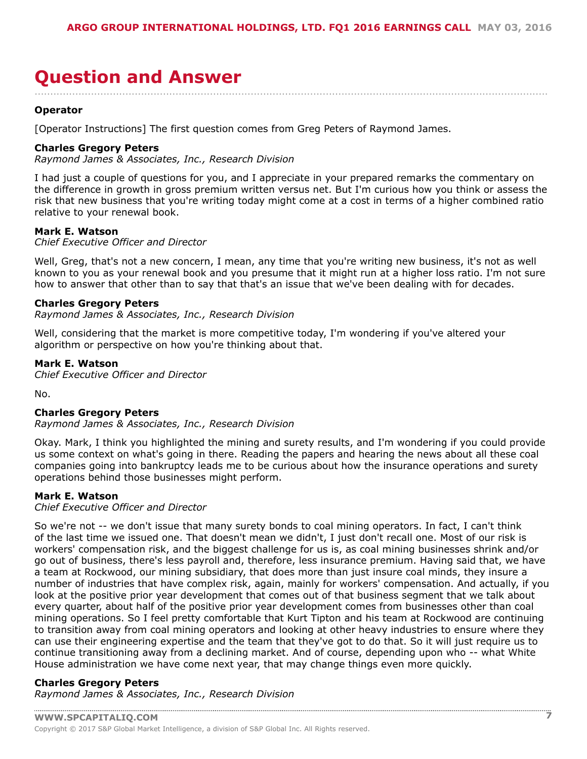## <span id="page-6-0"></span>**Question and Answer**

**Operator**

[Operator Instructions] The first question comes from Greg Peters of Raymond James.

#### **Charles Gregory Peters**

*Raymond James & Associates, Inc., Research Division*

I had just a couple of questions for you, and I appreciate in your prepared remarks the commentary on the difference in growth in gross premium written versus net. But I'm curious how you think or assess the risk that new business that you're writing today might come at a cost in terms of a higher combined ratio relative to your renewal book.

....................................................................................................................................................................

#### **Mark E. Watson**

*Chief Executive Officer and Director*

Well, Greg, that's not a new concern, I mean, any time that you're writing new business, it's not as well known to you as your renewal book and you presume that it might run at a higher loss ratio. I'm not sure how to answer that other than to say that that's an issue that we've been dealing with for decades.

#### **Charles Gregory Peters**

*Raymond James & Associates, Inc., Research Division*

Well, considering that the market is more competitive today, I'm wondering if you've altered your algorithm or perspective on how you're thinking about that.

#### **Mark E. Watson**

*Chief Executive Officer and Director*

No.

#### **Charles Gregory Peters**

*Raymond James & Associates, Inc., Research Division*

Okay. Mark, I think you highlighted the mining and surety results, and I'm wondering if you could provide us some context on what's going in there. Reading the papers and hearing the news about all these coal companies going into bankruptcy leads me to be curious about how the insurance operations and surety operations behind those businesses might perform.

#### **Mark E. Watson**

#### *Chief Executive Officer and Director*

So we're not -- we don't issue that many surety bonds to coal mining operators. In fact, I can't think of the last time we issued one. That doesn't mean we didn't, I just don't recall one. Most of our risk is workers' compensation risk, and the biggest challenge for us is, as coal mining businesses shrink and/or go out of business, there's less payroll and, therefore, less insurance premium. Having said that, we have a team at Rockwood, our mining subsidiary, that does more than just insure coal minds, they insure a number of industries that have complex risk, again, mainly for workers' compensation. And actually, if you look at the positive prior year development that comes out of that business segment that we talk about every quarter, about half of the positive prior year development comes from businesses other than coal mining operations. So I feel pretty comfortable that Kurt Tipton and his team at Rockwood are continuing to transition away from coal mining operators and looking at other heavy industries to ensure where they can use their engineering expertise and the team that they've got to do that. So it will just require us to continue transitioning away from a declining market. And of course, depending upon who -- what White House administration we have come next year, that may change things even more quickly.

#### **Charles Gregory Peters**

*Raymond James & Associates, Inc., Research Division*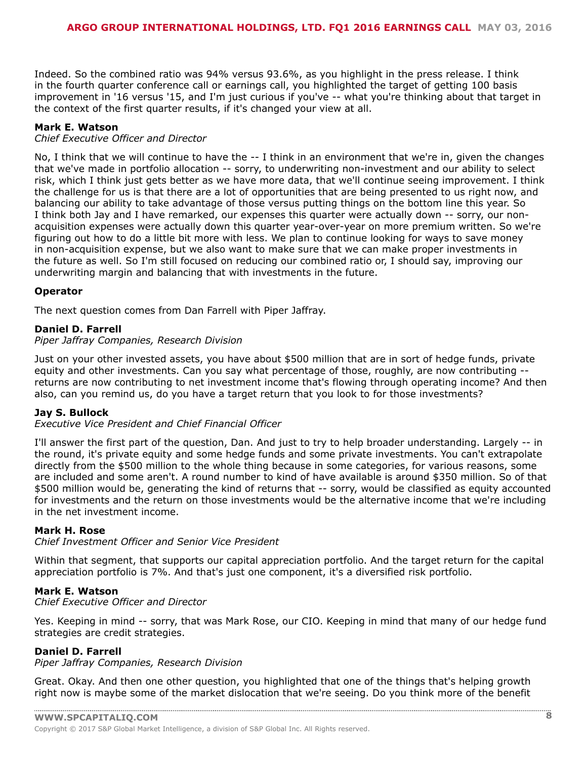Indeed. So the combined ratio was 94% versus 93.6%, as you highlight in the press release. I think in the fourth quarter conference call or earnings call, you highlighted the target of getting 100 basis improvement in '16 versus '15, and I'm just curious if you've -- what you're thinking about that target in the context of the first quarter results, if it's changed your view at all.

#### **Mark E. Watson**

#### *Chief Executive Officer and Director*

No, I think that we will continue to have the -- I think in an environment that we're in, given the changes that we've made in portfolio allocation -- sorry, to underwriting non-investment and our ability to select risk, which I think just gets better as we have more data, that we'll continue seeing improvement. I think the challenge for us is that there are a lot of opportunities that are being presented to us right now, and balancing our ability to take advantage of those versus putting things on the bottom line this year. So I think both Jay and I have remarked, our expenses this quarter were actually down -- sorry, our nonacquisition expenses were actually down this quarter year-over-year on more premium written. So we're figuring out how to do a little bit more with less. We plan to continue looking for ways to save money in non-acquisition expense, but we also want to make sure that we can make proper investments in the future as well. So I'm still focused on reducing our combined ratio or, I should say, improving our underwriting margin and balancing that with investments in the future.

#### **Operator**

The next question comes from Dan Farrell with Piper Jaffray.

#### **Daniel D. Farrell**

*Piper Jaffray Companies, Research Division*

Just on your other invested assets, you have about \$500 million that are in sort of hedge funds, private equity and other investments. Can you say what percentage of those, roughly, are now contributing - returns are now contributing to net investment income that's flowing through operating income? And then also, can you remind us, do you have a target return that you look to for those investments?

#### **Jay S. Bullock**

#### *Executive Vice President and Chief Financial Officer*

I'll answer the first part of the question, Dan. And just to try to help broader understanding. Largely -- in the round, it's private equity and some hedge funds and some private investments. You can't extrapolate directly from the \$500 million to the whole thing because in some categories, for various reasons, some are included and some aren't. A round number to kind of have available is around \$350 million. So of that \$500 million would be, generating the kind of returns that -- sorry, would be classified as equity accounted for investments and the return on those investments would be the alternative income that we're including in the net investment income.

#### **Mark H. Rose**

*Chief Investment Officer and Senior Vice President*

Within that segment, that supports our capital appreciation portfolio. And the target return for the capital appreciation portfolio is 7%. And that's just one component, it's a diversified risk portfolio.

#### **Mark E. Watson**

#### *Chief Executive Officer and Director*

Yes. Keeping in mind -- sorry, that was Mark Rose, our CIO. Keeping in mind that many of our hedge fund strategies are credit strategies.

#### **Daniel D. Farrell**

*Piper Jaffray Companies, Research Division*

Great. Okay. And then one other question, you highlighted that one of the things that's helping growth right now is maybe some of the market dislocation that we're seeing. Do you think more of the benefit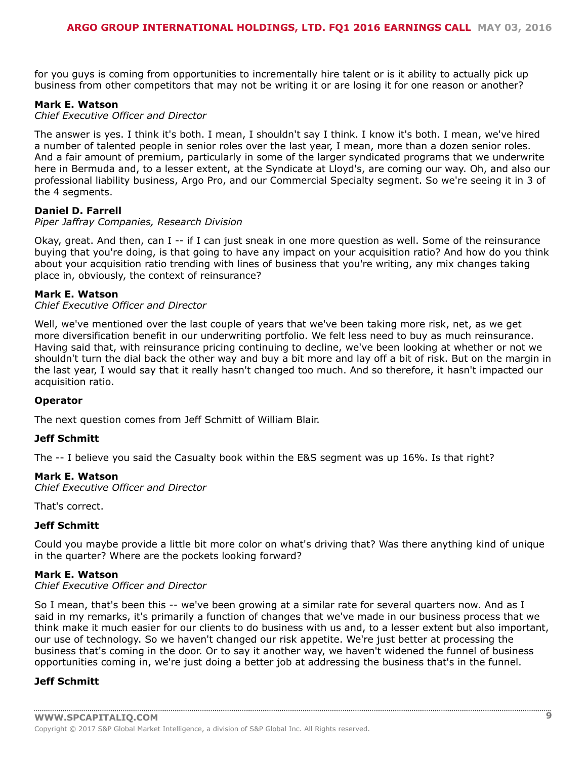for you guys is coming from opportunities to incrementally hire talent or is it ability to actually pick up business from other competitors that may not be writing it or are losing it for one reason or another?

#### **Mark E. Watson**

#### *Chief Executive Officer and Director*

The answer is yes. I think it's both. I mean, I shouldn't say I think. I know it's both. I mean, we've hired a number of talented people in senior roles over the last year, I mean, more than a dozen senior roles. And a fair amount of premium, particularly in some of the larger syndicated programs that we underwrite here in Bermuda and, to a lesser extent, at the Syndicate at Lloyd's, are coming our way. Oh, and also our professional liability business, Argo Pro, and our Commercial Specialty segment. So we're seeing it in 3 of the 4 segments.

#### **Daniel D. Farrell**

#### *Piper Jaffray Companies, Research Division*

Okay, great. And then, can I -- if I can just sneak in one more question as well. Some of the reinsurance buying that you're doing, is that going to have any impact on your acquisition ratio? And how do you think about your acquisition ratio trending with lines of business that you're writing, any mix changes taking place in, obviously, the context of reinsurance?

#### **Mark E. Watson**

#### *Chief Executive Officer and Director*

Well, we've mentioned over the last couple of years that we've been taking more risk, net, as we get more diversification benefit in our underwriting portfolio. We felt less need to buy as much reinsurance. Having said that, with reinsurance pricing continuing to decline, we've been looking at whether or not we shouldn't turn the dial back the other way and buy a bit more and lay off a bit of risk. But on the margin in the last year, I would say that it really hasn't changed too much. And so therefore, it hasn't impacted our acquisition ratio.

#### **Operator**

The next question comes from Jeff Schmitt of William Blair.

#### **Jeff Schmitt**

The -- I believe you said the Casualty book within the E&S segment was up 16%. Is that right?

#### **Mark E. Watson**

*Chief Executive Officer and Director*

That's correct.

#### **Jeff Schmitt**

Could you maybe provide a little bit more color on what's driving that? Was there anything kind of unique in the quarter? Where are the pockets looking forward?

#### **Mark E. Watson**

#### *Chief Executive Officer and Director*

So I mean, that's been this -- we've been growing at a similar rate for several quarters now. And as I said in my remarks, it's primarily a function of changes that we've made in our business process that we think make it much easier for our clients to do business with us and, to a lesser extent but also important, our use of technology. So we haven't changed our risk appetite. We're just better at processing the business that's coming in the door. Or to say it another way, we haven't widened the funnel of business opportunities coming in, we're just doing a better job at addressing the business that's in the funnel.

#### **Jeff Schmitt**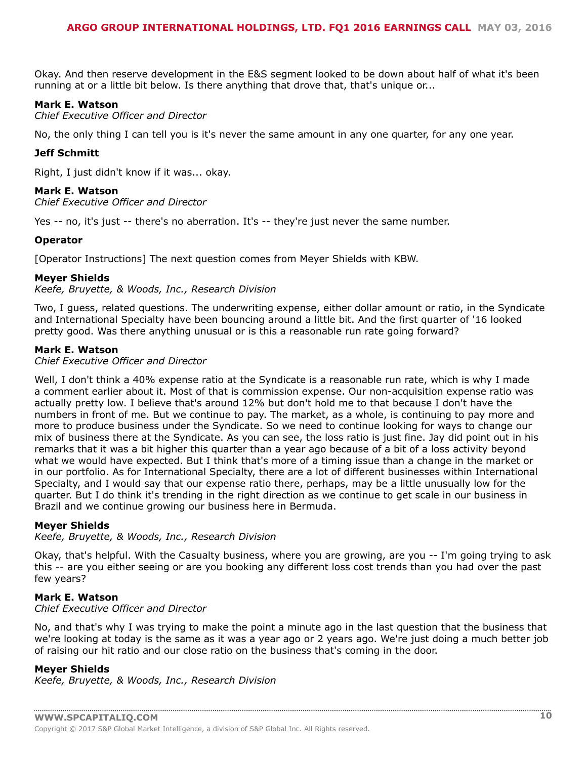Okay. And then reserve development in the E&S segment looked to be down about half of what it's been running at or a little bit below. Is there anything that drove that, that's unique or...

#### **Mark E. Watson**

*Chief Executive Officer and Director*

No, the only thing I can tell you is it's never the same amount in any one quarter, for any one year.

#### **Jeff Schmitt**

Right, I just didn't know if it was... okay.

#### **Mark E. Watson**

*Chief Executive Officer and Director*

Yes -- no, it's just -- there's no aberration. It's -- they're just never the same number.

#### **Operator**

[Operator Instructions] The next question comes from Meyer Shields with KBW.

#### **Meyer Shields**

*Keefe, Bruyette, & Woods, Inc., Research Division*

Two, I guess, related questions. The underwriting expense, either dollar amount or ratio, in the Syndicate and International Specialty have been bouncing around a little bit. And the first quarter of '16 looked pretty good. Was there anything unusual or is this a reasonable run rate going forward?

#### **Mark E. Watson**

*Chief Executive Officer and Director*

Well, I don't think a 40% expense ratio at the Syndicate is a reasonable run rate, which is why I made a comment earlier about it. Most of that is commission expense. Our non-acquisition expense ratio was actually pretty low. I believe that's around 12% but don't hold me to that because I don't have the numbers in front of me. But we continue to pay. The market, as a whole, is continuing to pay more and more to produce business under the Syndicate. So we need to continue looking for ways to change our mix of business there at the Syndicate. As you can see, the loss ratio is just fine. Jay did point out in his remarks that it was a bit higher this quarter than a year ago because of a bit of a loss activity beyond what we would have expected. But I think that's more of a timing issue than a change in the market or in our portfolio. As for International Specialty, there are a lot of different businesses within International Specialty, and I would say that our expense ratio there, perhaps, may be a little unusually low for the quarter. But I do think it's trending in the right direction as we continue to get scale in our business in Brazil and we continue growing our business here in Bermuda.

#### **Meyer Shields**

*Keefe, Bruyette, & Woods, Inc., Research Division*

Okay, that's helpful. With the Casualty business, where you are growing, are you -- I'm going trying to ask this -- are you either seeing or are you booking any different loss cost trends than you had over the past few years?

#### **Mark E. Watson**

#### *Chief Executive Officer and Director*

No, and that's why I was trying to make the point a minute ago in the last question that the business that we're looking at today is the same as it was a year ago or 2 years ago. We're just doing a much better job of raising our hit ratio and our close ratio on the business that's coming in the door.

#### **Meyer Shields**

*Keefe, Bruyette, & Woods, Inc., Research Division*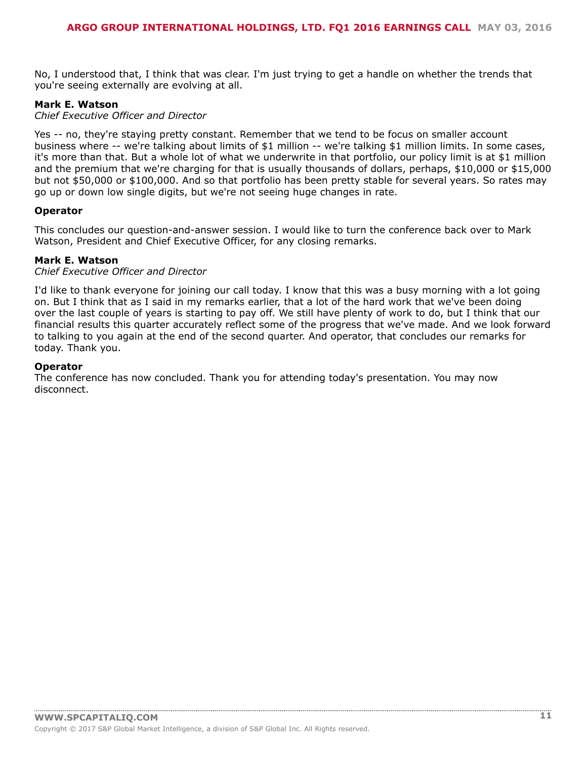No, I understood that, I think that was clear. I'm just trying to get a handle on whether the trends that you're seeing externally are evolving at all.

#### **Mark E. Watson**

#### *Chief Executive Officer and Director*

Yes -- no, they're staying pretty constant. Remember that we tend to be focus on smaller account business where -- we're talking about limits of \$1 million -- we're talking \$1 million limits. In some cases, it's more than that. But a whole lot of what we underwrite in that portfolio, our policy limit is at \$1 million and the premium that we're charging for that is usually thousands of dollars, perhaps, \$10,000 or \$15,000 but not \$50,000 or \$100,000. And so that portfolio has been pretty stable for several years. So rates may go up or down low single digits, but we're not seeing huge changes in rate.

#### **Operator**

This concludes our question-and-answer session. I would like to turn the conference back over to Mark Watson, President and Chief Executive Officer, for any closing remarks.

#### **Mark E. Watson**

#### *Chief Executive Officer and Director*

I'd like to thank everyone for joining our call today. I know that this was a busy morning with a lot going on. But I think that as I said in my remarks earlier, that a lot of the hard work that we've been doing over the last couple of years is starting to pay off. We still have plenty of work to do, but I think that our financial results this quarter accurately reflect some of the progress that we've made. And we look forward to talking to you again at the end of the second quarter. And operator, that concludes our remarks for today. Thank you.

#### **Operator**

The conference has now concluded. Thank you for attending today's presentation. You may now disconnect.